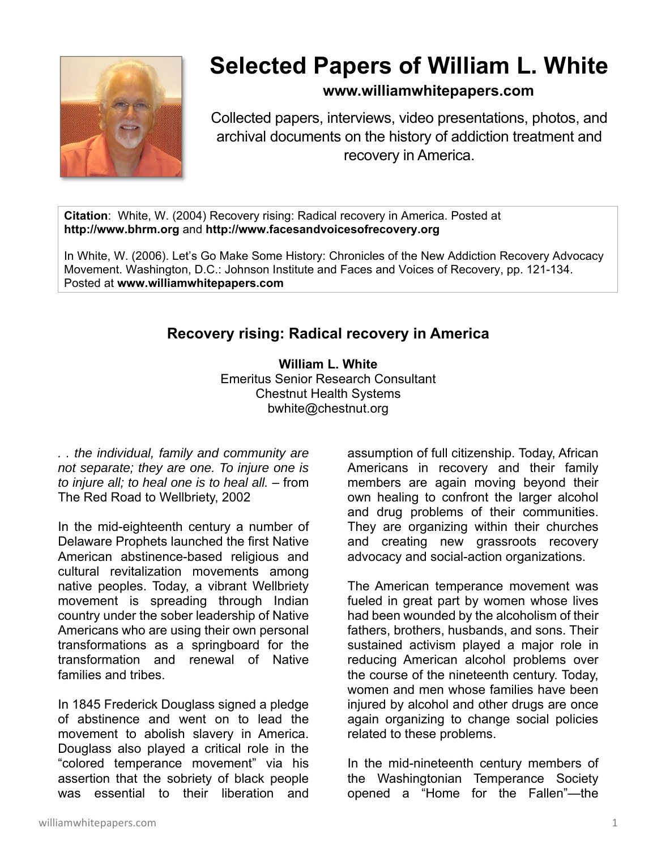

# **Selected Papers of William L. White**

## **www.williamwhitepapers.com**

Collected papers, interviews, video presentations, photos, and archival documents on the history of addiction treatment and recovery in America.

**Citation**: White, W. (2004) Recovery rising: Radical recovery in America. Posted at **http://www.bhrm.org** and **http://www.facesandvoicesofrecovery.org**

In White, W. (2006). Let's Go Make Some History: Chronicles of the New Addiction Recovery Advocacy Movement. Washington, D.C.: Johnson Institute and Faces and Voices of Recovery, pp. 121-134. Posted at **www.williamwhitepapers.com** 

## **Recovery rising: Radical recovery in America**

**William L. White**  Emeritus Senior Research Consultant Chestnut Health Systems bwhite@chestnut.org

*. . the individual, family and community are not separate; they are one. To injure one is to injure all; to heal one is to heal all.* – from The Red Road to Wellbriety, 2002

In the mid-eighteenth century a number of Delaware Prophets launched the first Native American abstinence-based religious and cultural revitalization movements among native peoples. Today, a vibrant Wellbriety movement is spreading through Indian country under the sober leadership of Native Americans who are using their own personal transformations as a springboard for the transformation and renewal of Native families and tribes.

In 1845 Frederick Douglass signed a pledge of abstinence and went on to lead the movement to abolish slavery in America. Douglass also played a critical role in the "colored temperance movement" via his assertion that the sobriety of black people was essential to their liberation and

assumption of full citizenship. Today, African Americans in recovery and their family members are again moving beyond their own healing to confront the larger alcohol and drug problems of their communities. They are organizing within their churches and creating new grassroots recovery advocacy and social-action organizations.

The American temperance movement was fueled in great part by women whose lives had been wounded by the alcoholism of their fathers, brothers, husbands, and sons. Their sustained activism played a major role in reducing American alcohol problems over the course of the nineteenth century. Today, women and men whose families have been injured by alcohol and other drugs are once again organizing to change social policies related to these problems.

In the mid-nineteenth century members of the Washingtonian Temperance Society opened a "Home for the Fallen"—the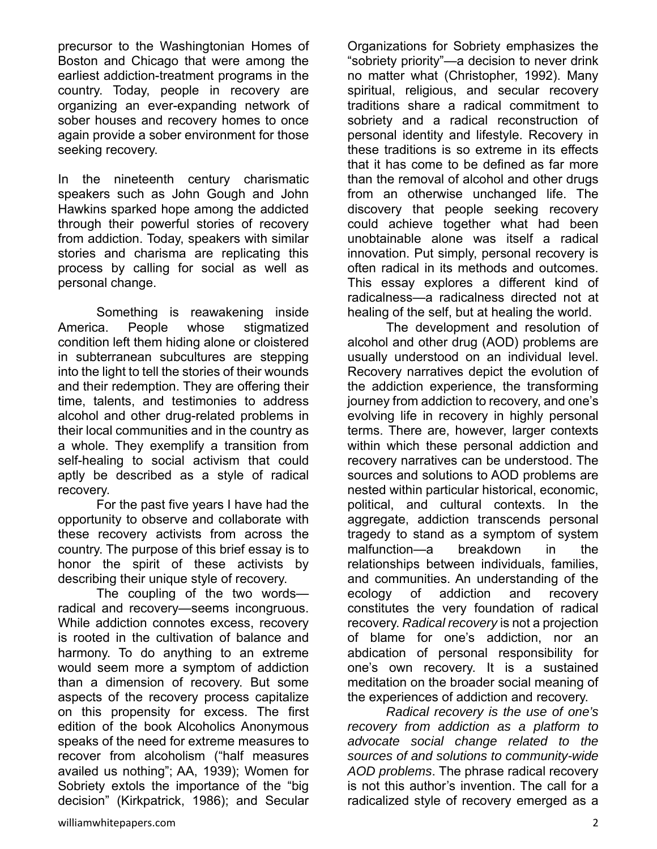precursor to the Washingtonian Homes of Boston and Chicago that were among the earliest addiction-treatment programs in the country. Today, people in recovery are organizing an ever-expanding network of sober houses and recovery homes to once again provide a sober environment for those seeking recovery.

In the nineteenth century charismatic speakers such as John Gough and John Hawkins sparked hope among the addicted through their powerful stories of recovery from addiction. Today, speakers with similar stories and charisma are replicating this process by calling for social as well as personal change.

Something is reawakening inside America. People whose stigmatized condition left them hiding alone or cloistered in subterranean subcultures are stepping into the light to tell the stories of their wounds and their redemption. They are offering their time, talents, and testimonies to address alcohol and other drug-related problems in their local communities and in the country as a whole. They exemplify a transition from self-healing to social activism that could aptly be described as a style of radical recovery.

For the past five years I have had the opportunity to observe and collaborate with these recovery activists from across the country. The purpose of this brief essay is to honor the spirit of these activists by describing their unique style of recovery.

The coupling of the two words radical and recovery—seems incongruous. While addiction connotes excess, recovery is rooted in the cultivation of balance and harmony. To do anything to an extreme would seem more a symptom of addiction than a dimension of recovery. But some aspects of the recovery process capitalize on this propensity for excess. The first edition of the book Alcoholics Anonymous speaks of the need for extreme measures to recover from alcoholism ("half measures availed us nothing"; AA, 1939); Women for Sobriety extols the importance of the "big decision" (Kirkpatrick, 1986); and Secular

Organizations for Sobriety emphasizes the "sobriety priority"—a decision to never drink no matter what (Christopher, 1992). Many spiritual, religious, and secular recovery traditions share a radical commitment to sobriety and a radical reconstruction of personal identity and lifestyle. Recovery in these traditions is so extreme in its effects that it has come to be defined as far more than the removal of alcohol and other drugs from an otherwise unchanged life. The discovery that people seeking recovery could achieve together what had been unobtainable alone was itself a radical innovation. Put simply, personal recovery is often radical in its methods and outcomes. This essay explores a different kind of radicalness—a radicalness directed not at healing of the self, but at healing the world.

The development and resolution of alcohol and other drug (AOD) problems are usually understood on an individual level. Recovery narratives depict the evolution of the addiction experience, the transforming journey from addiction to recovery, and one's evolving life in recovery in highly personal terms. There are, however, larger contexts within which these personal addiction and recovery narratives can be understood. The sources and solutions to AOD problems are nested within particular historical, economic, political, and cultural contexts. In the aggregate, addiction transcends personal tragedy to stand as a symptom of system malfunction—a breakdown in the relationships between individuals, families, and communities. An understanding of the ecology of addiction and recovery constitutes the very foundation of radical recovery. *Radical recovery* is not a projection of blame for one's addiction, nor an abdication of personal responsibility for one's own recovery. It is a sustained meditation on the broader social meaning of the experiences of addiction and recovery.

*Radical recovery is the use of one's recovery from addiction as a platform to advocate social change related to the sources of and solutions to community-wide AOD problems*. The phrase radical recovery is not this author's invention. The call for a radicalized style of recovery emerged as a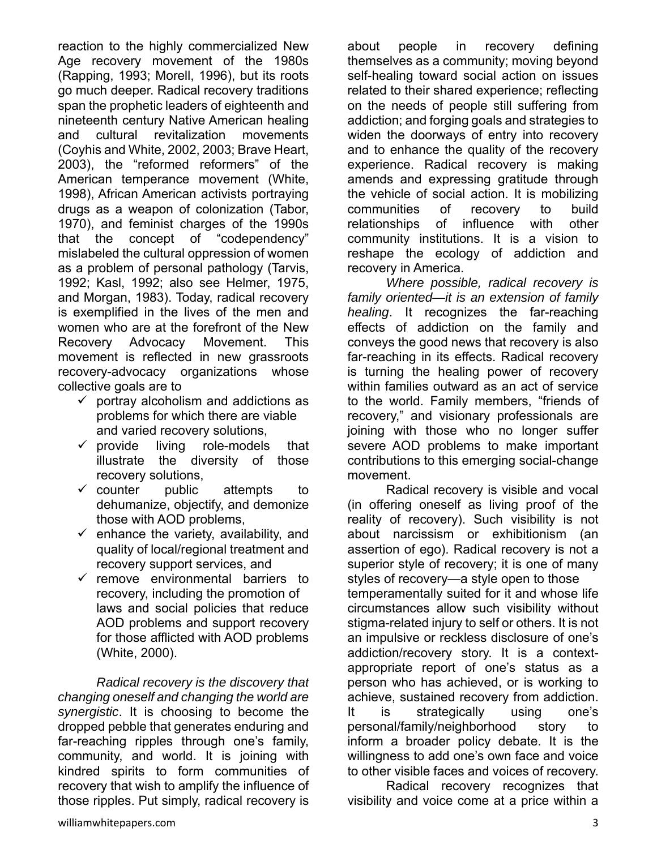reaction to the highly commercialized New Age recovery movement of the 1980s (Rapping, 1993; Morell, 1996), but its roots go much deeper. Radical recovery traditions span the prophetic leaders of eighteenth and nineteenth century Native American healing and cultural revitalization movements (Coyhis and White, 2002, 2003; Brave Heart, 2003), the "reformed reformers" of the American temperance movement (White, 1998), African American activists portraying drugs as a weapon of colonization (Tabor, 1970), and feminist charges of the 1990s that the concept of "codependency" mislabeled the cultural oppression of women as a problem of personal pathology (Tarvis, 1992; Kasl, 1992; also see Helmer, 1975, and Morgan, 1983). Today, radical recovery is exemplified in the lives of the men and women who are at the forefront of the New Recovery Advocacy Movement. This movement is reflected in new grassroots recovery-advocacy organizations whose collective goals are to

- $\checkmark$  portray alcoholism and addictions as problems for which there are viable and varied recovery solutions,
- $\checkmark$  provide living role-models that illustrate the diversity of those recovery solutions,
- $\checkmark$  counter public attempts to dehumanize, objectify, and demonize those with AOD problems,
- $\checkmark$  enhance the variety, availability, and quality of local/regional treatment and recovery support services, and
- $\checkmark$  remove environmental barriers to recovery, including the promotion of laws and social policies that reduce AOD problems and support recovery for those afflicted with AOD problems (White, 2000).

*Radical recovery is the discovery that changing oneself and changing the world are synergistic*. It is choosing to become the dropped pebble that generates enduring and far-reaching ripples through one's family, community, and world. It is joining with kindred spirits to form communities of recovery that wish to amplify the influence of those ripples. Put simply, radical recovery is

about people in recovery defining themselves as a community; moving beyond self-healing toward social action on issues related to their shared experience; reflecting on the needs of people still suffering from addiction; and forging goals and strategies to widen the doorways of entry into recovery and to enhance the quality of the recovery experience. Radical recovery is making amends and expressing gratitude through the vehicle of social action. It is mobilizing communities of recovery to build relationships of influence with other community institutions. It is a vision to reshape the ecology of addiction and recovery in America.

*Where possible, radical recovery is family oriented—it is an extension of family healing*. It recognizes the far-reaching effects of addiction on the family and conveys the good news that recovery is also far-reaching in its effects. Radical recovery is turning the healing power of recovery within families outward as an act of service to the world. Family members, "friends of recovery," and visionary professionals are joining with those who no longer suffer severe AOD problems to make important contributions to this emerging social-change movement.

Radical recovery is visible and vocal (in offering oneself as living proof of the reality of recovery). Such visibility is not about narcissism or exhibitionism (an assertion of ego). Radical recovery is not a superior style of recovery; it is one of many styles of recovery—a style open to those temperamentally suited for it and whose life circumstances allow such visibility without

stigma-related injury to self or others. It is not an impulsive or reckless disclosure of one's addiction/recovery story. It is a contextappropriate report of one's status as a person who has achieved, or is working to achieve, sustained recovery from addiction.

It is strategically using one's personal/family/neighborhood story to inform a broader policy debate. It is the willingness to add one's own face and voice to other visible faces and voices of recovery.

Radical recovery recognizes that visibility and voice come at a price within a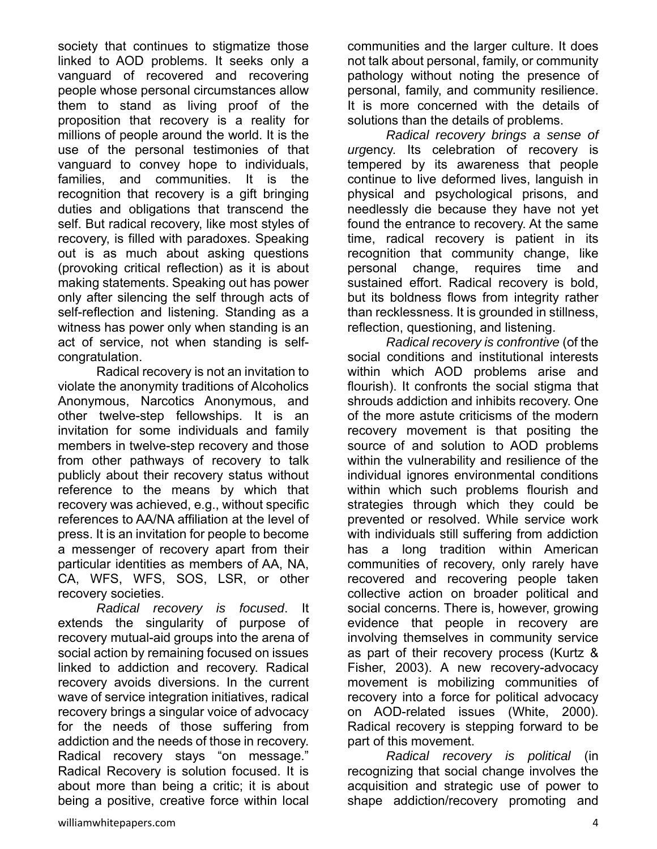society that continues to stigmatize those linked to AOD problems. It seeks only a vanguard of recovered and recovering people whose personal circumstances allow them to stand as living proof of the proposition that recovery is a reality for millions of people around the world. It is the use of the personal testimonies of that vanguard to convey hope to individuals, families, and communities. It is the recognition that recovery is a gift bringing duties and obligations that transcend the self. But radical recovery, like most styles of recovery, is filled with paradoxes. Speaking out is as much about asking questions (provoking critical reflection) as it is about making statements. Speaking out has power only after silencing the self through acts of self-reflection and listening. Standing as a witness has power only when standing is an act of service, not when standing is selfcongratulation.

 Radical recovery is not an invitation to violate the anonymity traditions of Alcoholics Anonymous, Narcotics Anonymous, and other twelve-step fellowships. It is an invitation for some individuals and family members in twelve-step recovery and those from other pathways of recovery to talk publicly about their recovery status without reference to the means by which that recovery was achieved, e.g., without specific references to AA/NA affiliation at the level of press. It is an invitation for people to become a messenger of recovery apart from their particular identities as members of AA, NA, CA, WFS, WFS, SOS, LSR, or other recovery societies.

*Radical recovery is focused*. It extends the singularity of purpose of recovery mutual-aid groups into the arena of social action by remaining focused on issues linked to addiction and recovery. Radical recovery avoids diversions. In the current wave of service integration initiatives, radical recovery brings a singular voice of advocacy for the needs of those suffering from addiction and the needs of those in recovery. Radical recovery stays "on message." Radical Recovery is solution focused. It is about more than being a critic; it is about being a positive, creative force within local communities and the larger culture. It does not talk about personal, family, or community pathology without noting the presence of personal, family, and community resilience. It is more concerned with the details of solutions than the details of problems.

*Radical recovery brings a sense of urg*ency. Its celebration of recovery is tempered by its awareness that people continue to live deformed lives, languish in physical and psychological prisons, and needlessly die because they have not yet found the entrance to recovery. At the same time, radical recovery is patient in its recognition that community change, like personal change, requires time and sustained effort. Radical recovery is bold, but its boldness flows from integrity rather than recklessness. It is grounded in stillness, reflection, questioning, and listening.

*Radical recovery is confrontive* (of the social conditions and institutional interests within which AOD problems arise and flourish). It confronts the social stigma that shrouds addiction and inhibits recovery. One of the more astute criticisms of the modern recovery movement is that positing the source of and solution to AOD problems within the vulnerability and resilience of the individual ignores environmental conditions within which such problems flourish and strategies through which they could be prevented or resolved. While service work with individuals still suffering from addiction has a long tradition within American communities of recovery, only rarely have recovered and recovering people taken collective action on broader political and social concerns. There is, however, growing evidence that people in recovery are involving themselves in community service as part of their recovery process (Kurtz & Fisher, 2003). A new recovery-advocacy movement is mobilizing communities of recovery into a force for political advocacy on AOD-related issues (White, 2000). Radical recovery is stepping forward to be part of this movement.

*Radical recovery is political* (in recognizing that social change involves the acquisition and strategic use of power to shape addiction/recovery promoting and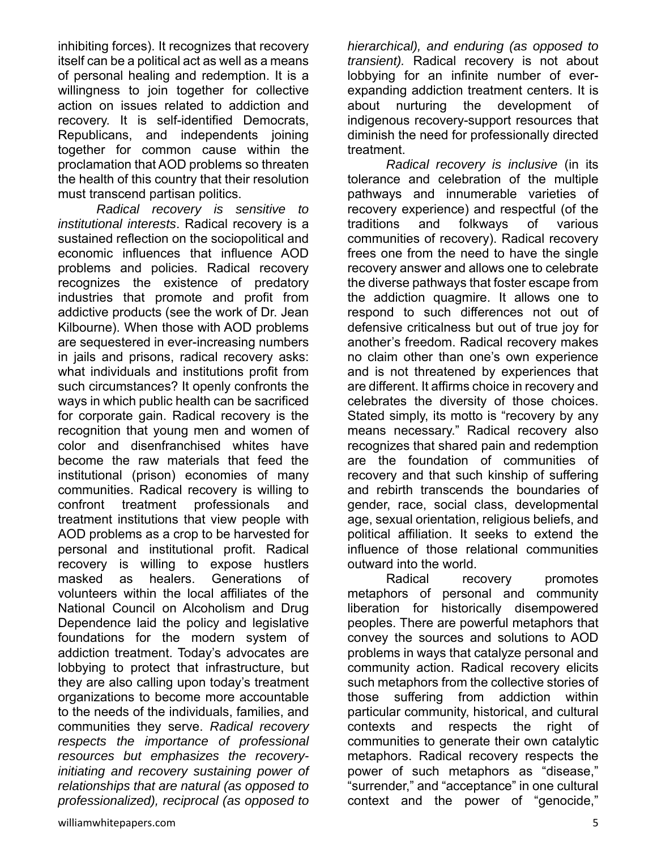inhibiting forces). It recognizes that recovery itself can be a political act as well as a means of personal healing and redemption. It is a willingness to join together for collective action on issues related to addiction and recovery. It is self-identified Democrats, Republicans, and independents joining together for common cause within the proclamation that AOD problems so threaten the health of this country that their resolution must transcend partisan politics.

*Radical recovery is sensitive to institutional interests*. Radical recovery is a sustained reflection on the sociopolitical and economic influences that influence AOD problems and policies. Radical recovery recognizes the existence of predatory industries that promote and profit from addictive products (see the work of Dr. Jean Kilbourne). When those with AOD problems are sequestered in ever-increasing numbers in jails and prisons, radical recovery asks: what individuals and institutions profit from such circumstances? It openly confronts the ways in which public health can be sacrificed for corporate gain. Radical recovery is the recognition that young men and women of color and disenfranchised whites have become the raw materials that feed the institutional (prison) economies of many communities. Radical recovery is willing to confront treatment professionals and treatment institutions that view people with AOD problems as a crop to be harvested for personal and institutional profit. Radical recovery is willing to expose hustlers masked as healers. Generations of volunteers within the local affiliates of the National Council on Alcoholism and Drug Dependence laid the policy and legislative foundations for the modern system of addiction treatment. Today's advocates are lobbying to protect that infrastructure, but they are also calling upon today's treatment organizations to become more accountable to the needs of the individuals, families, and communities they serve. *Radical recovery respects the importance of professional resources but emphasizes the recoveryinitiating and recovery sustaining power of relationships that are natural (as opposed to professionalized), reciprocal (as opposed to* 

*hierarchical), and enduring (as opposed to transient).* Radical recovery is not about lobbying for an infinite number of everexpanding addiction treatment centers. It is about nurturing the development of indigenous recovery-support resources that diminish the need for professionally directed treatment.

*Radical recovery is inclusive* (in its tolerance and celebration of the multiple pathways and innumerable varieties of recovery experience) and respectful (of the traditions and folkways of various communities of recovery). Radical recovery frees one from the need to have the single recovery answer and allows one to celebrate the diverse pathways that foster escape from the addiction quagmire. It allows one to respond to such differences not out of defensive criticalness but out of true joy for another's freedom. Radical recovery makes no claim other than one's own experience and is not threatened by experiences that are different. It affirms choice in recovery and celebrates the diversity of those choices. Stated simply, its motto is "recovery by any means necessary." Radical recovery also recognizes that shared pain and redemption are the foundation of communities of recovery and that such kinship of suffering and rebirth transcends the boundaries of gender, race, social class, developmental age, sexual orientation, religious beliefs, and political affiliation. It seeks to extend the influence of those relational communities outward into the world.

Radical recovery promotes metaphors of personal and community liberation for historically disempowered peoples. There are powerful metaphors that convey the sources and solutions to AOD problems in ways that catalyze personal and community action. Radical recovery elicits such metaphors from the collective stories of those suffering from addiction within particular community, historical, and cultural contexts and respects the right of communities to generate their own catalytic metaphors. Radical recovery respects the power of such metaphors as "disease," "surrender," and "acceptance" in one cultural context and the power of "genocide,"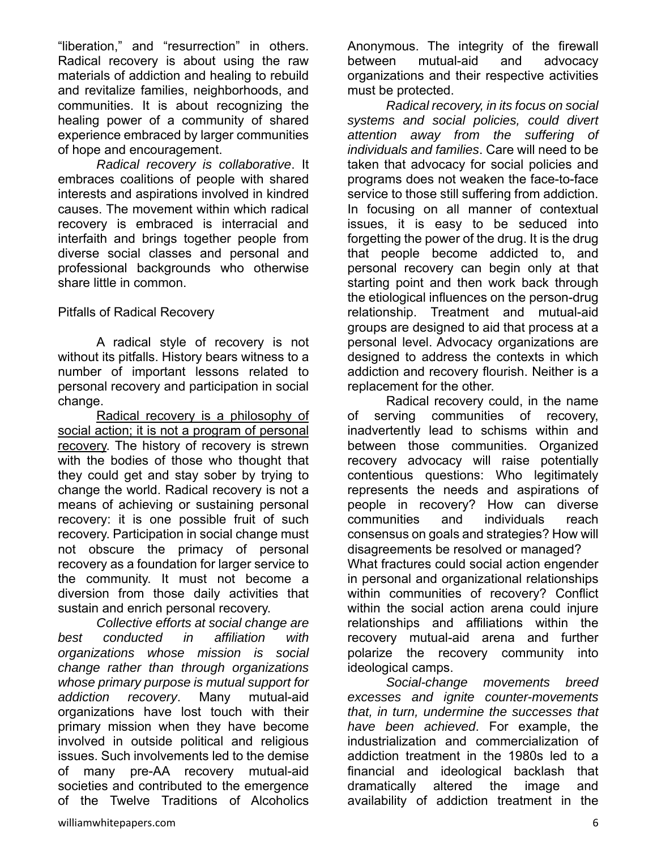"liberation," and "resurrection" in others. Radical recovery is about using the raw materials of addiction and healing to rebuild and revitalize families, neighborhoods, and communities. It is about recognizing the healing power of a community of shared experience embraced by larger communities of hope and encouragement.

*Radical recovery is collaborative*. It embraces coalitions of people with shared interests and aspirations involved in kindred causes. The movement within which radical recovery is embraced is interracial and interfaith and brings together people from diverse social classes and personal and professional backgrounds who otherwise share little in common.

Pitfalls of Radical Recovery

A radical style of recovery is not without its pitfalls. History bears witness to a number of important lessons related to personal recovery and participation in social change.

Radical recovery is a philosophy of social action; it is not a program of personal recovery. The history of recovery is strewn with the bodies of those who thought that they could get and stay sober by trying to change the world. Radical recovery is not a means of achieving or sustaining personal recovery: it is one possible fruit of such recovery. Participation in social change must not obscure the primacy of personal recovery as a foundation for larger service to the community. It must not become a diversion from those daily activities that sustain and enrich personal recovery.

 *Collective efforts at social change are best conducted in affiliation with organizations whose mission is social change rather than through organizations whose primary purpose is mutual support for addiction recovery*. Many mutual-aid organizations have lost touch with their primary mission when they have become involved in outside political and religious issues. Such involvements led to the demise of many pre-AA recovery mutual-aid societies and contributed to the emergence of the Twelve Traditions of Alcoholics

Anonymous. The integrity of the firewall between mutual-aid and advocacy organizations and their respective activities must be protected.

*Radical recovery, in its focus on social systems and social policies, could divert attention away from the suffering of individuals and families*. Care will need to be taken that advocacy for social policies and programs does not weaken the face-to-face service to those still suffering from addiction. In focusing on all manner of contextual issues, it is easy to be seduced into forgetting the power of the drug. It is the drug that people become addicted to, and personal recovery can begin only at that starting point and then work back through the etiological influences on the person-drug relationship. Treatment and mutual-aid groups are designed to aid that process at a personal level. Advocacy organizations are designed to address the contexts in which addiction and recovery flourish. Neither is a replacement for the other.

Radical recovery could, in the name of serving communities of recovery, inadvertently lead to schisms within and between those communities. Organized recovery advocacy will raise potentially contentious questions: Who legitimately represents the needs and aspirations of people in recovery? How can diverse communities and individuals reach consensus on goals and strategies? How will disagreements be resolved or managed? What fractures could social action engender in personal and organizational relationships within communities of recovery? Conflict within the social action arena could injure relationships and affiliations within the recovery mutual-aid arena and further polarize the recovery community into ideological camps.

*Social-change movements breed excesses and ignite counter-movements that, in turn, undermine the successes that have been achieved*. For example, the industrialization and commercialization of addiction treatment in the 1980s led to a financial and ideological backlash that dramatically altered the image and availability of addiction treatment in the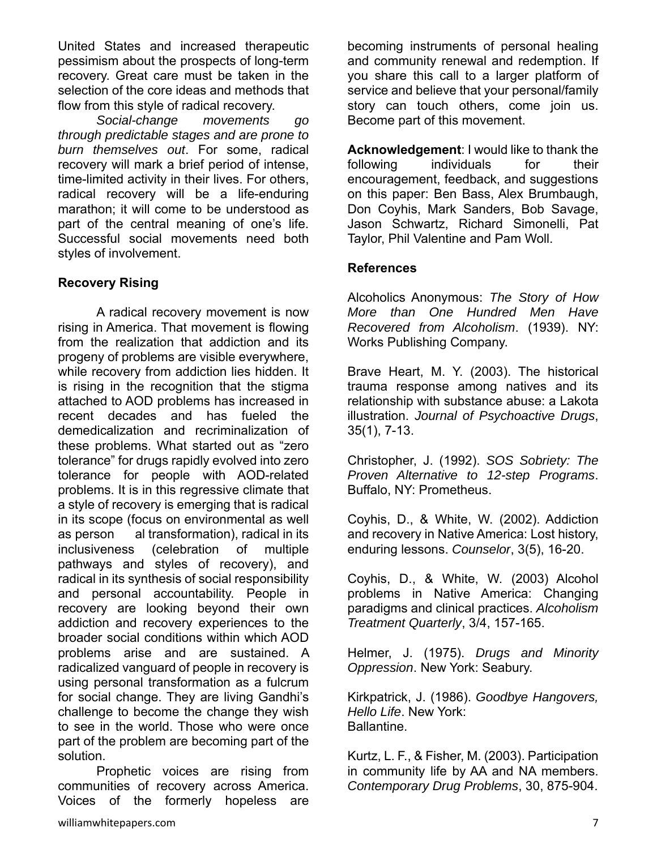United States and increased therapeutic pessimism about the prospects of long-term recovery. Great care must be taken in the selection of the core ideas and methods that flow from this style of radical recovery.

*Social-change movements go through predictable stages and are prone to burn themselves out*. For some, radical recovery will mark a brief period of intense, time-limited activity in their lives. For others, radical recovery will be a life-enduring marathon; it will come to be understood as part of the central meaning of one's life. Successful social movements need both styles of involvement.

### **Recovery Rising**

 A radical recovery movement is now rising in America. That movement is flowing from the realization that addiction and its progeny of problems are visible everywhere, while recovery from addiction lies hidden. It is rising in the recognition that the stigma attached to AOD problems has increased in recent decades and has fueled the demedicalization and recriminalization of these problems. What started out as "zero tolerance" for drugs rapidly evolved into zero tolerance for people with AOD-related problems. It is in this regressive climate that a style of recovery is emerging that is radical in its scope (focus on environmental as well as person al transformation), radical in its inclusiveness (celebration of multiple pathways and styles of recovery), and radical in its synthesis of social responsibility and personal accountability. People in recovery are looking beyond their own addiction and recovery experiences to the broader social conditions within which AOD problems arise and are sustained. A radicalized vanguard of people in recovery is using personal transformation as a fulcrum for social change. They are living Gandhi's challenge to become the change they wish to see in the world. Those who were once part of the problem are becoming part of the solution.

 Prophetic voices are rising from communities of recovery across America. Voices of the formerly hopeless are

becoming instruments of personal healing and community renewal and redemption. If you share this call to a larger platform of service and believe that your personal/family story can touch others, come join us. Become part of this movement.

**Acknowledgement**: I would like to thank the following individuals for their encouragement, feedback, and suggestions on this paper: Ben Bass, Alex Brumbaugh, Don Coyhis, Mark Sanders, Bob Savage, Jason Schwartz, Richard Simonelli, Pat Taylor, Phil Valentine and Pam Woll.

#### **References**

Alcoholics Anonymous: *The Story of How More than One Hundred Men Have Recovered from Alcoholism*. (1939). NY: Works Publishing Company.

Brave Heart, M. Y. (2003). The historical trauma response among natives and its relationship with substance abuse: a Lakota illustration. *Journal of Psychoactive Drugs*, 35(1), 7-13.

Christopher, J. (1992). *SOS Sobriety: The Proven Alternative to 12-step Programs*. Buffalo, NY: Prometheus.

Coyhis, D., & White, W. (2002). Addiction and recovery in Native America: Lost history, enduring lessons. *Counselor*, 3(5), 16-20.

Coyhis, D., & White, W. (2003) Alcohol problems in Native America: Changing paradigms and clinical practices. *Alcoholism Treatment Quarterly*, 3/4, 157-165.

Helmer, J. (1975). *Drugs and Minority Oppression*. New York: Seabury.

Kirkpatrick, J. (1986). *Goodbye Hangovers, Hello Life*. New York: Ballantine.

Kurtz, L. F., & Fisher, M. (2003). Participation in community life by AA and NA members. *Contemporary Drug Problems*, 30, 875-904.